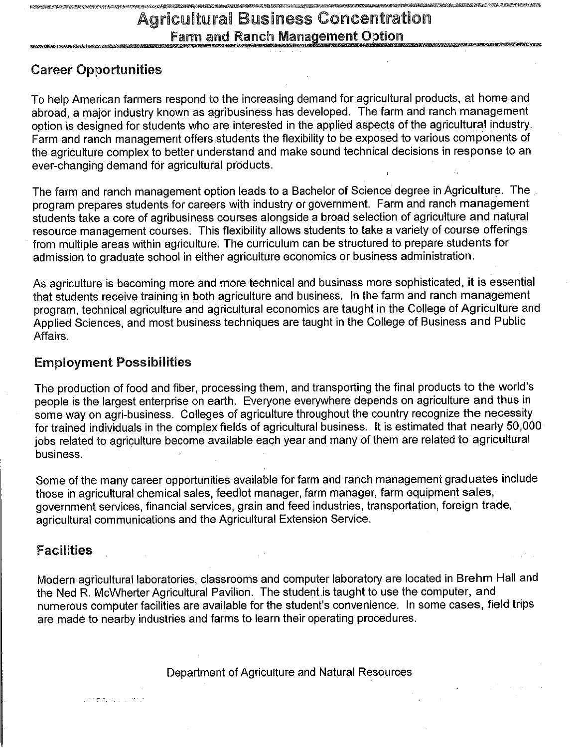# **Agricultural Business Concentration Farm and Ranch Management Option**

# **Career Opportunities**

VANDERSPORTEN SALT 'N KONSTANDING OOR DE GEVOLGE DE LEE NOOR DE GEVOLGE DE DE DE BEERS OP DE GEVOLGE DE DE DE

To help American farmers respond to the increasing demand for agricultural products, at home and abroad, a major industry known as agribusiness has developed. The farm and ranch management option is designed for students who are interested in the applied aspects of the agricultural industry. Farm and ranch management offers students the flexibility to be exposed to various components of the agriculture complex to better understand and make sound technical decisions in response to an ever-changing demand for agricultural products.

The farm and ranch management option leads to a Bachelor of Science degree in Agriculture. The program prepares students for careers with industry or government. Farm and ranch management students take a core of agribusiness courses alongside a broad selection of agriculture and natural resource management courses. This flexibility allows students to take a variety of course offerings from multiple areas within agriculture. The curriculum can be structured to prepare students for admission to graduate school in either agriculture economics or business administration.

As agriculture is becoming more and more technical and business more sophisticated, it is essential that students receive training in both agriculture and business. In the farm and ranch management program, technical agriculture and agricultural economics are taught in the College of Agriculture and Applied Sciences, and most business techniques are taught in the College of Business and Public Affairs.

# **Employment Possibilities**

mangkulu vapo

The production of food and fiber, processing them, and transporting the final products to the world's people is the largest enterprise on earth. Everyone everywhere depends on agriculture and thus in some way on agri-business. Colleges of agriculture throughout the country recognize the necessity for trained individuals in the complex fields of agricultural business. It is estimated that nearly 50,000 jobs related to agriculture become available each year and many of them are related to agricultural business.

Some of the many career opportunities available for farm and ranch management graduates include those in agricultural chemical sales, feedlot manager, farm manager, farm equipment sales, government services, financial services, grain and feed industries, transportation, foreign trade, agricultural communications and the Agricultural Extension Service.

# **Facilities**

Modern agricultural laboratories, classrooms and computer laboratory are located in Brehm Hall and the Ned R. McWherter Agricultural Pavilion. The student is taught to use the computer, and numerous computer facilities are available for the student's convenience. In some cases, field trips are made to nearby industries and farms to learn their operating procedures.

Department of Agriculture and Natural Resources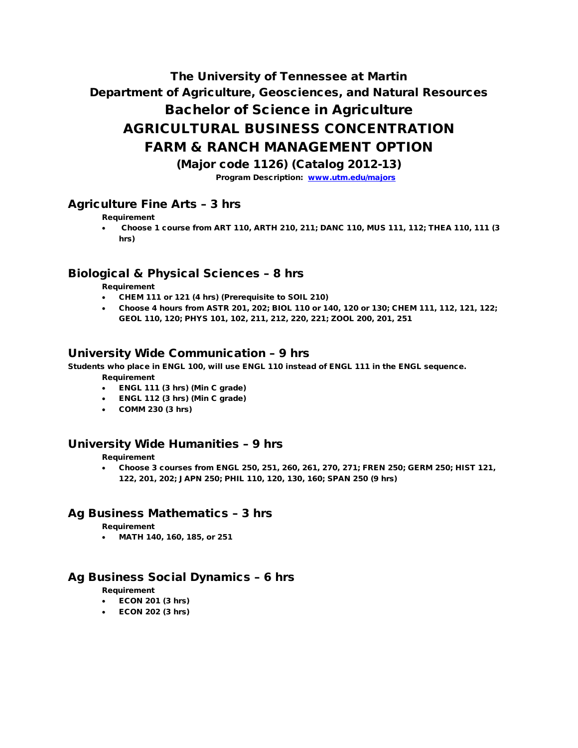# The University of Tennessee at Martin Department of Agriculture, Geosciences, and Natural Resources Bachelor of Science in Agriculture AGRICULTURAL BUSINESS CONCENTRATION FARM & RANCH MANAGEMENT OPTION

(Major code 1126) (Catalog 2012-13)

Program Description: [www.utm.edu/majors](http://www.utm.edu/majors)

# Agriculture Fine Arts – 3 hrs

Requirement

• Choose 1 course from ART 110, ARTH 210, 211; DANC 110, MUS 111, 112; THEA 110, 111 (3 hrs)

# Biological & Physical Sciences – 8 hrs

Requirement

- CHEM 111 or 121 (4 hrs) (Prerequisite to SOIL 210)
- Choose 4 hours from ASTR 201, 202; BIOL 110 or 140, 120 or 130; CHEM 111, 112, 121, 122; GEOL 110, 120; PHYS 101, 102, 211, 212, 220, 221; ZOOL 200, 201, 251

## University Wide Communication – 9 hrs

Students who place in ENGL 100, will use ENGL 110 instead of ENGL 111 in the ENGL sequence.

Requirement

- ENGL 111 (3 hrs) (Min C grade)
- ENGL 112 (3 hrs) (Min C grade)
- COMM 230 (3 hrs)

#### University Wide Humanities – 9 hrs

Requirement

• Choose 3 courses from ENGL 250, 251, 260, 261, 270, 271; FREN 250; GERM 250; HIST 121, 122, 201, 202; JAPN 250; PHIL 110, 120, 130, 160; SPAN 250 (9 hrs)

#### Ag Business Mathematics – 3 hrs

Requirement

• MATH 140, 160, 185, or 251

#### Ag Business Social Dynamics – 6 hrs

Requirement

- ECON 201 (3 hrs)
- ECON 202 (3 hrs)